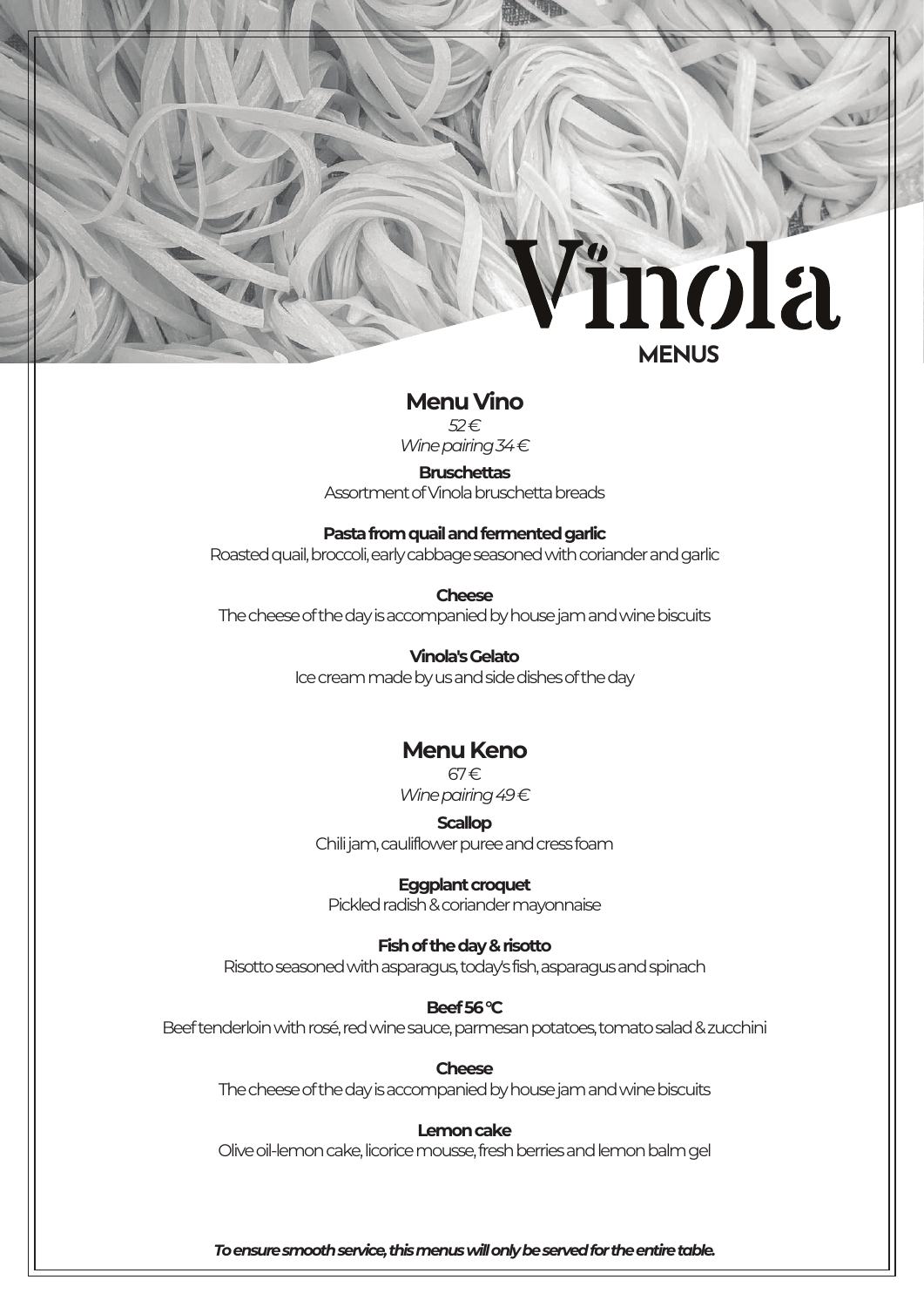# inola **MENUS**

# **Menu Vino**

*52 €*

*Wine pairing*<sub>34€</sub>

# **Bruschettas**

Assortment of Vinola bruschetta breads

# **Pasta from quail and fermented garlic**

Roasted quail, broccoli, early cabbage seasoned with coriander and garlic

**Cheese** The cheese of the day is accompanied by house jam andwine biscuits

> **Vinola's Gelato** Ice cream made by us and sidedishes of the day

# **Menu Keno**

67€ *Wine pairing 49€* 

**Scallop**

Chili jam, cauliflower puree and cress foam

# **Eggplant croquet**

Pickled radish & coriander mayonnaise

# **Fish of the day & risotto**

Risotto seasoned with asparagus, today's fish, asparagusand spinach

# **Beef 56 °C**

Beef tenderloin with rosé, red wine sauce, parmesan potatoes, tomato salad & zucchini

**Cheese** The cheese of the day is accompanied by house jam and wine biscuits

# **Lemon cake**

Oliveoil-lemon cake, licorice mousse, fresh berries and lemon balm gel

*To ensure smooth service, this menus will only be served for the entire table.*